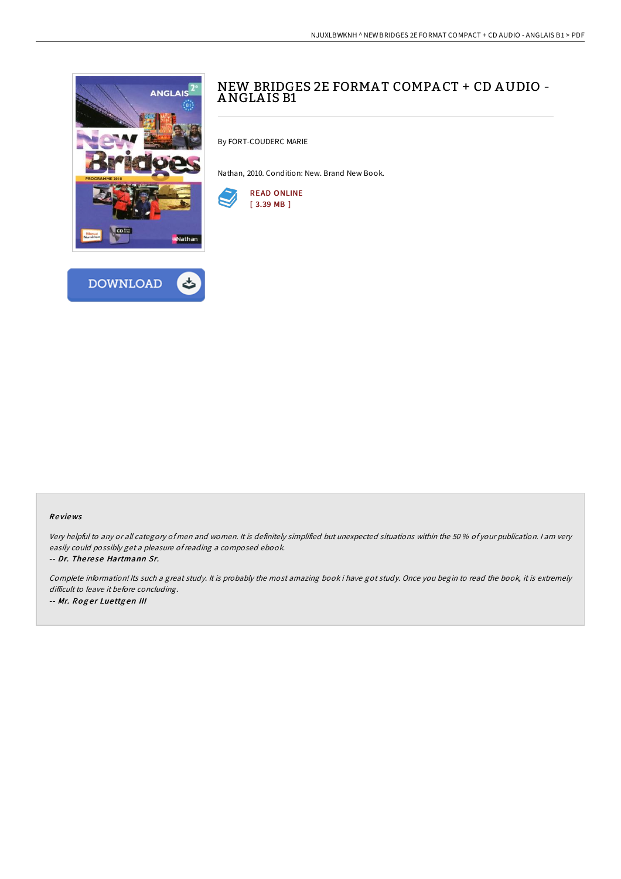



# NEW BRIDGES 2E FORMAT COMPACT + CD AUDIO -ANGLA IS B1

By FORT-COUDERC MARIE

Nathan, 2010. Condition: New. Brand New Book.



## Re views

Very helpful to any or all category of men and women. It is definitely simplified but unexpected situations within the 50 % of your publication. <sup>I</sup> am very easily could possibly get <sup>a</sup> pleasure ofreading <sup>a</sup> composed ebook.

-- Dr. The re se Hartmann Sr.

Complete information! Its such <sup>a</sup> great study. It is probably the most amazing book i have got study. Once you begin to read the book, it is extremely difficult to leave it before concluding. -- Mr. Roger Luettgen III